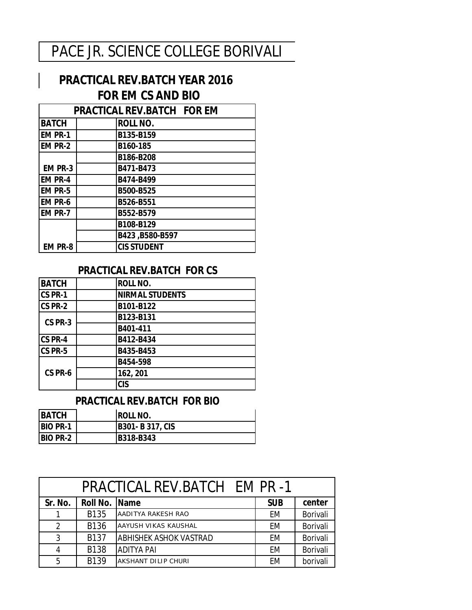## PACE JR. SCIENCE COLLEGE BORIVALI

## **PRACTICAL REV.BATCH YEAR 2016 FOR EM CS AND BIO**

| <b>PRACTICAL REV.BATCH FOR EM</b> |  |                    |  |  |
|-----------------------------------|--|--------------------|--|--|
| <b>BATCH</b>                      |  | <b>ROLL NO.</b>    |  |  |
| <b>EM PR-1</b>                    |  | B135-B159          |  |  |
| <b>EM PR-2</b>                    |  | B160-185           |  |  |
|                                   |  | B186-B208          |  |  |
| <b>EM PR-3</b>                    |  | B471-B473          |  |  |
| <b>EM PR-4</b>                    |  | B474-B499          |  |  |
| <b>EM PR-5</b>                    |  | B500-B525          |  |  |
| <b>EM PR-6</b>                    |  | B526-B551          |  |  |
| <b>EM PR-7</b>                    |  | B552-B579          |  |  |
|                                   |  | B108-B129          |  |  |
|                                   |  | B423, B580-B597    |  |  |
| <b>EM PR-8</b>                    |  | <b>CIS STUDENT</b> |  |  |

## **PRACTICAL REV.BATCH FOR CS**

| <b>BATCH</b> | <b>ROLL NO.</b>        |
|--------------|------------------------|
| CS PR-1      | <b>NIRMAL STUDENTS</b> |
| CS PR-2      | B101-B122              |
| CS PR-3      | B123-B131              |
|              | B401-411               |
| CS PR-4      | B412-B434              |
| CS PR-5      | B435-B453              |
|              | B454-598               |
| CS PR-6      | 162, 201               |
|              | <b>CIS</b>             |

## **PRACTICAL REV.BATCH FOR BIO**

| <b>BATCH</b>    | IROLL NO.             |
|-----------------|-----------------------|
| <b>BIO PR-1</b> | <b>B301-B317, CIS</b> |
| <b>BIO PR-2</b> | B318-B343             |

|                |               | <b>PRACTICAL REV.BATCH EM PR-1</b> |            |          |
|----------------|---------------|------------------------------------|------------|----------|
| Sr. No.        | Roll No. Name |                                    | <b>SUB</b> | center   |
| 1              | <b>B135</b>   | AADITYA RAKESH RAO                 | EM         | Borivali |
| $\overline{2}$ | <b>B136</b>   | AAYUSH VIKAS KAUSHAL               | EM         | Borivali |
| 3              | B137          | <b>ABHISHEK ASHOK VASTRAD</b>      | EM         | Borivali |
| 4              | <b>B138</b>   | <b>ADITYA PAI</b>                  | EM         | Borivali |
| 5              | B139          | AKSHANT DILIP CHURI                | EM         | borivali |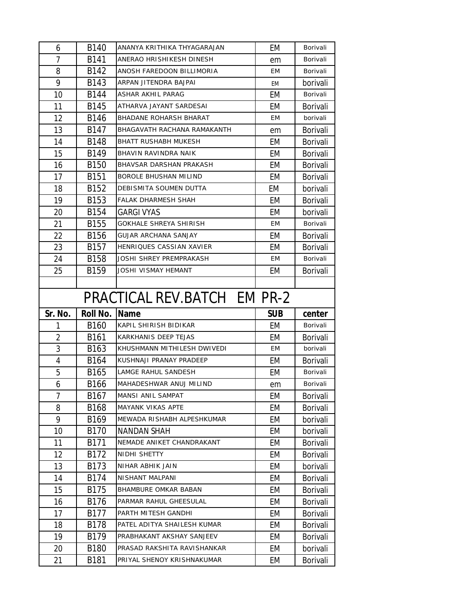| 6              | B140             | ANANYA KRITHIKA THYAGARAJAN    | EM         | Borivali        |
|----------------|------------------|--------------------------------|------------|-----------------|
| 7              | B141             | ANERAO HRISHIKESH DINESH       | em         | Borivali        |
| 8              | B142             | ANOSH FAREDOON BILLIMORIA      | EM         | Borivali        |
| 9              | B143             | ARPAN JITENDRA BAJPAI          | EM         | borivali        |
| 10             | <b>B144</b>      | ASHAR AKHIL PARAG              | EM         | Borivali        |
| 11             | B145             | ATHARVA JAYANT SARDESAI        | EM         | <b>Borivali</b> |
| 12             | B146             | <b>BHADANE ROHARSH BHARAT</b>  | EМ         | borivali        |
| 13             | B147             | BHAGAVATH RACHANA RAMAKANTH    | em         | <b>Borivali</b> |
| 14             | B148             | <b>BHATT RUSHABH MUKESH</b>    | EM         | <b>Borivali</b> |
| 15             | B149             | BHAVIN RAVINDRA NAIK           | EM         | <b>Borivali</b> |
| 16             | <b>B150</b>      | BHAVSAR DARSHAN PRAKASH        | EM         | <b>Borivali</b> |
| 17             | <b>B151</b>      | <b>BOROLE BHUSHAN MILIND</b>   | EM         | <b>Borivali</b> |
| 18             | B152             | DEBISMITA SOUMEN DUTTA         | EМ         | borivali        |
| 19             | B153             | <b>FALAK DHARMESH SHAH</b>     | EM         | <b>Borivali</b> |
| 20             | <b>B154</b>      | <b>GARGI VYAS</b>              | EM         | borivali        |
| 21             | <b>B155</b>      | GOKHALE SHREYA SHIRISH         | EM         | Borivali        |
| 22             | B156             | <b>GUJAR ARCHANA SANJAY</b>    | EM         | <b>Borivali</b> |
| 23             | B <sub>157</sub> | HENRIQUES CASSIAN XAVIER       | EM         | <b>Borivali</b> |
| 24             | <b>B158</b>      | <b>JOSHI SHREY PREMPRAKASH</b> | EM         | Borivali        |
| 25             | B159             | JOSHI VISMAY HEMANT            | EM         | <b>Borivali</b> |
|                |                  |                                |            |                 |
|                |                  | PRACTICAL REV.BATCH EM PR-2    |            |                 |
|                |                  |                                |            |                 |
| Sr. No.        | Roll No.         | Name                           | <b>SUB</b> | center          |
| 1              | B <sub>160</sub> | KAPIL SHIRISH BIDIKAR          | EM         | Borivali        |
| $\overline{2}$ | B161             | KARKHANIS DEEP TEJAS           | EM         | <b>Borivali</b> |
| 3              | B163             | KHUSHMANN MITHILESH DWIVEDI    | EM         | borivali        |
| 4              | B164             | KUSHNAJI PRANAY PRADEEP        | EM         | <b>Borivali</b> |
| 5              | B165             | LAMGE RAHUL SANDESH            | EM         | Borivali        |
| 6              | <b>B166</b>      | MAHADESHWAR ANUJ MILIND        | em         | Borivali        |
| 7              | B167             | MANSI ANIL SAMPAT              | EM         | <b>Borivali</b> |
| 8              | B168             | <b>MAYANK VIKAS APTE</b>       | EM         | Borivali        |
| 9              | B169             | MEWADA RISHABH ALPESHKUMAR     | EM         | borivali        |
| 10             | B170             | <b>NANDAN SHAH</b>             | EM         | borivali        |
| 11             | B171             | NEMADE ANIKET CHANDRAKANT      | EM         | <b>Borivali</b> |
| 12             | B172             | NIDHI SHETTY                   | EM         | <b>Borivali</b> |
| 13             | B173             | NIHAR ABHIK JAIN               | EM         | borivali        |
| 14             | B174             | <b>NISHANT MALPANI</b>         | EM         | <b>Borivali</b> |
| 15             | B175             | BHAMBURE OMKAR BABAN           | EM         | Borivali        |
| 16             | B176             | PARMAR RAHUL GHEESULAL         | EM         | <b>Borivali</b> |
| 17             | B177             | PARTH MITESH GANDHI            | EM         | <b>Borivali</b> |
| 18             | B178             | PATEL ADITYA SHAILESH KUMAR    | EM         | <b>Borivali</b> |
| 19             | B179             | PRABHAKANT AKSHAY SANJEEV      | EM         | Borivali        |
| 20             | B180             | PRASAD RAKSHITA RAVISHANKAR    | EM         | borivali        |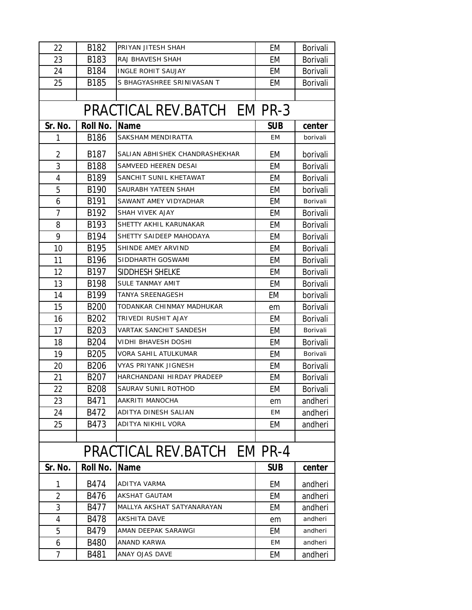| 22             | B182             | PRIYAN JITESH SHAH             | EM         | Borivali        |
|----------------|------------------|--------------------------------|------------|-----------------|
| 23             | B183             | RAJ BHAVESH SHAH               | EM         | <b>Borivali</b> |
| 24             | B184             | <b>INGLE ROHIT SAUJAY</b>      | EM         | Borivali        |
| 25             | <b>B185</b>      | S BHAGYASHREE SRINIVASAN T     | EM         | <b>Borivali</b> |
|                |                  |                                |            |                 |
|                |                  | PRACTICAL REV.BATCH EM PR-3    |            |                 |
| Sr. No.        | <b>Roll No.</b>  | <b>Name</b>                    | <b>SUB</b> | center          |
| 1              | <b>B186</b>      | SAKSHAM MENDIRATTA             | EM         | borivali        |
| $\overline{2}$ | B187             | SALIAN ABHISHEK CHANDRASHEKHAR | EM         | borivali        |
| 3              | <b>B188</b>      | SAMVEED HEEREN DESAI           | EM         | <b>Borivali</b> |
| 4              | B189             | SANCHIT SUNIL KHETAWAT         | EM         | <b>Borivali</b> |
| 5              | B <sub>190</sub> | SAURABH YATEEN SHAH            | EM         | borivali        |
| 6              | B191             | SAWANT AMEY VIDYADHAR          | EM         | Borivali        |
| 7              | B192             | SHAH VIVEK AJAY                | EM         | <b>Borivali</b> |
| 8              | B193             | SHETTY AKHIL KARUNAKAR         | EM         | Borivali        |
| 9              | B194             | SHETTY SAIDEEP MAHODAYA        | EM         | Borivali        |
| 10             | B195             | SHINDE AMEY ARVIND             | EM         | <b>Borivali</b> |
| 11             | B196             | SIDDHARTH GOSWAMI              | EM         | <b>Borivali</b> |
| 12             | B197             | SIDDHESH SHELKE                | EM         | <b>Borivali</b> |
| 13             | B198             | SULE TANMAY AMIT               | EM         | <b>Borivali</b> |
| 14             | B199             | TANYA SREENAGESH               | EM         | borivali        |
| 15             | <b>B200</b>      | TODANKAR CHINMAY MADHUKAR      | em         | <b>Borivali</b> |
| 16             | B <sub>202</sub> | TRIVEDI RUSHIT AJAY            | EM         | <b>Borivali</b> |
| 17             | B <sub>203</sub> | VARTAK SANCHIT SANDESH         | EM         | Borivali        |
| 18             | <b>B204</b>      | VIDHI BHAVESH DOSHI            | EM         | Borivali        |
| 19             | B205             | VORA SAHIL ATULKUMAR           | EM         | Borivali        |
| 20             | <b>B206</b>      | <b>VYAS PRIYANK JIGNESH</b>    | EM         | <b>Borivali</b> |
| 21             | B <sub>207</sub> | HARCHANDANI HIRDAY PRADEEP     | EM         | <b>Borivali</b> |
| 22             | <b>B208</b>      | SAURAV SUNIL ROTHOD            | EM         | Borivali        |
| 23             | B471             | AAKRITI MANOCHA                | em         | andheri         |
| 24             | B472             | ADITYA DINESH SALIAN           | <b>EM</b>  | andheri         |
| 25             | B473             | ADITYA NIKHIL VORA             | EM         | andheri         |
|                |                  |                                |            |                 |
|                |                  | PRACTICAL REV.BATCH EM PR-4    |            |                 |
| Sr. No.        | Roll No.         | <b>Name</b>                    | <b>SUB</b> | center          |
| 1              | B474             | ADITYA VARMA                   | EM         | andheri         |
| $\overline{2}$ | B476             | <b>AKSHAT GAUTAM</b>           | EM         | andheri         |
| 3              | B477             | MALLYA AKSHAT SATYANARAYAN     | EM         | andheri         |
| 4              | <b>B478</b>      | <b>AKSHITA DAVE</b>            | em         | andheri         |
| 5              | B479             | AMAN DEEPAK SARAWGI            | EM         | andheri         |
| 6              | <b>B480</b>      | ANAND KARWA                    | EM         | andheri         |
| $\overline{7}$ | B481             | ANAY OJAS DAVE                 | EM         | andheri         |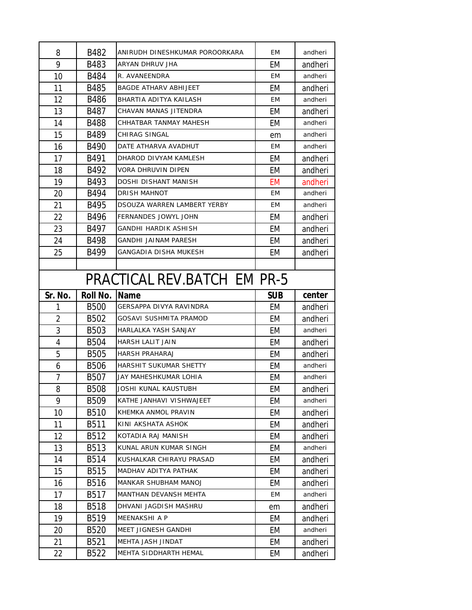| 8              | B482              | ANIRUDH DINESHKUMAR POROORKARA | EM         | andheri |
|----------------|-------------------|--------------------------------|------------|---------|
| 9              | B483              | ARYAN DHRUV JHA                | EM         | andheri |
| 10             | <b>B484</b>       | R. AVANEENDRA                  | EM         | andheri |
| 11             | <b>B485</b>       | <b>BAGDE ATHARV ABHIJEET</b>   | EM         | andheri |
| 12             | <b>B486</b>       | BHARTIA ADITYA KAILASH         | ЕM         | andheri |
| 13             | B487              | CHAVAN MANAS JITENDRA          | EM         | andheri |
| 14             | <b>B488</b>       | CHHATBAR TANMAY MAHESH         | EM         | andheri |
| 15             | B489              | CHIRAG SINGAL                  | em         | andheri |
| 16             | B490              | DATE ATHARVA AVADHUT           | <b>EM</b>  | andheri |
| 17             | B491              | DHAROD DIVYAM KAMLESH          | EM         | andheri |
| 18             | B492              | <b>VORA DHRUVIN DIPEN</b>      | EM         | andheri |
| 19             | B493              | DOSHI DISHANT MANISH           | <b>EM</b>  | andheri |
| 20             | B494              | <b>DRISH MAHNOT</b>            | EM         | andheri |
| 21             | B495              | DSOUZA WARREN LAMBERT YERBY    | ЕM         | andheri |
| 22             | B496              | <b>FERNANDES JOWYL JOHN</b>    | EM         | andheri |
| 23             | B497              | <b>GANDHI HARDIK ASHISH</b>    | EM         | andheri |
| 24             | <b>B498</b>       | <b>GANDHI JAINAM PARESH</b>    | EM         | andheri |
| 25             | B499              | GANGADIA DISHA MUKESH          | EM         | andheri |
|                |                   |                                |            |         |
|                |                   | PRACTICAL REV.BATCH_EM PR-5    |            |         |
| Sr. No.        | <b>Roll No.</b>   | <b>Name</b>                    | <b>SUB</b> | center  |
|                |                   |                                |            |         |
| 1              | <b>B500</b>       | GERSAPPA DIVYA RAVINDRA        | EM         | andheri |
| $\overline{2}$ | <b>B502</b>       | GOSAVI SUSHMITA PRAMOD         | EM         | andheri |
| 3              | <b>B503</b>       | HARLALKA YASH SANJAY           | EM         | andheri |
| 4              | <b>B504</b>       | HARSH LALIT JAIN               | EM         | andheri |
| 5              | <b>B505</b>       | <b>HARSH PRAHARAJ</b>          | EM         | andheri |
| 6              | <b>B506</b>       | HARSHIT SUKUMAR SHETTY         | EM         | andheri |
| 7              | <b>B507</b>       | JAY MAHESHKUMAR LOHIA          | EM         | andheri |
| 8              | <b>B508</b>       | JOSHI KUNAL KAUSTUBH           | EM         | andheri |
| 9              | <b>B509</b>       | KATHE JANHAVI VISHWAJEET       | EM         | andheri |
| 10             | B510              | KHEMKA ANMOL PRAVIN            | EM         | andheri |
| 11             | B511              | KINI AKSHATA ASHOK             | EM         | andheri |
| 12             | B512              | KOTADIA RAJ MANISH             | EM         | andheri |
| 13             | B513              | KUNAL ARUN KUMAR SINGH         | EM         | andheri |
| 14             | B514              | KUSHALKAR CHIRAYU PRASAD       | EM         | andheri |
| 15             | <b>B515</b>       | MADHAV ADITYA PATHAK           | EM         | andheri |
| 16             | B516              | <b>MANKAR SHUBHAM MANOJ</b>    | EM         | andheri |
| 17             | B517              | MANTHAN DEVANSH MEHTA          | EM         | andheri |
| 18             | <b>B518</b>       | DHVANI JAGDISH MASHRU          | em         | andheri |
| 19             | B <sub>5</sub> 19 | MEENAKSHI A P                  | EM         | andheri |
| 20             | <b>B520</b>       | MEET JIGNESH GANDHI            | EM         | andheri |
| 21             | B521              | MEHTA JASH JINDAT              | EM         | andheri |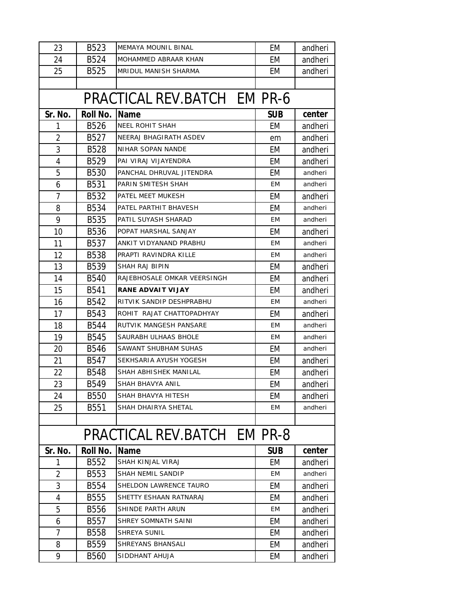| 23             | B523             | <b>MEMAYA MOUNIL BINAL</b>  | EM         | andheri |
|----------------|------------------|-----------------------------|------------|---------|
| 24             | B524             | MOHAMMED ABRAAR KHAN        | EM         | andheri |
| 25             | <b>B525</b>      | <b>MRIDUL MANISH SHARMA</b> | EM         | andheri |
|                |                  |                             |            |         |
|                |                  | PRACTICAL REV.BATCH EM PR-6 |            |         |
| Sr. No.        | Roll No.         | <b>Name</b>                 | <b>SUB</b> | center  |
| 1              | <b>B526</b>      | <b>NEEL ROHIT SHAH</b>      | EM         | andheri |
| $\overline{2}$ | B527             | NEERAJ BHAGIRATH ASDEV      | em         | andheri |
| 3              | <b>B528</b>      | NIHAR SOPAN NANDE           | EM         | andheri |
| $\overline{4}$ | B529             | PAI VIRAJ VIJAYENDRA        | EM         | andheri |
| 5              | <b>B530</b>      | PANCHAL DHRUVAL JITENDRA    | EM         | andheri |
| 6              | B531             | PARIN SMITESH SHAH          | ЕM         | andheri |
| $\overline{7}$ | B532             | PATEL MEET MUKESH           | EM         | andheri |
| 8              | <b>B534</b>      | PATEL PARTHIT BHAVESH       | EM         | andheri |
| 9              | <b>B535</b>      | PATIL SUYASH SHARAD         | EM         | andheri |
| 10             | <b>B536</b>      | POPAT HARSHAL SANJAY        | EM         | andheri |
| 11             | B537             | ANKIT VIDYANAND PRABHU      | ЕM         | andheri |
| 12             | <b>B538</b>      | PRAPTI RAVINDRA KILLE       | EM         | andheri |
| 13             | B539             | SHAH RAJ BIPIN              | EM         | andheri |
| 14             | <b>B540</b>      | RAJEBHOSALE OMKAR VEERSINGH | EM         | andheri |
| 15             | B541             | RANE ADVAIT VIJAY           | EM         | andheri |
| 16             | B542             | RITVIK SANDIP DESHPRABHU    | EM         | andheri |
| 17             | B543             | ROHIT RAJAT CHATTOPADHYAY   | EM         | andheri |
| 18             | <b>B544</b>      | RUTVIK MANGESH PANSARE      | EM         | andheri |
| 19             | <b>B545</b>      | SAURABH ULHAAS BHOLE        | EM         | andheri |
| 20             | <b>B546</b>      | SAWANT SHUBHAM SUHAS        | EM         | andheri |
| 21             | B547             | SEKHSARIA AYUSH YOGESH      | EM         | andheri |
| 22             | <b>B548</b>      | SHAH ABHISHEK MANILAL       | EM         | andheri |
| 23             | B549             | SHAH BHAVYA ANIL            | EМ         | andheri |
| 24             | <b>B550</b>      | SHAH BHAVYA HITESH          | EM         | andheri |
| 25             | <b>B551</b>      | SHAH DHAIRYA SHETAL         | EМ         | andheri |
|                |                  |                             |            |         |
|                |                  | PRACTICAL REV.BATCH EM PR-8 |            |         |
| Sr. No.        | Roll No.         | <b>Name</b>                 | <b>SUB</b> | center  |
| 1              | B552             | SHAH KINJAL VIRAJ           | EM         | andheri |
| $\overline{2}$ | B553             | SHAH NEMIL SANDIP           | EM         | andheri |
| 3              | B554             | SHELDON LAWRENCE TAURO      | EM         | andheri |
| 4              | <b>B555</b>      | SHETTY ESHAAN RATNARAJ      | EM         | andheri |
| 5              | <b>B556</b>      | SHINDE PARTH ARUN           | ЕM         | andheri |
| 6              | B557             | SHREY SOMNATH SAINI         | EM         | andheri |
| 7              | <b>B558</b>      | SHREYA SUNIL                | EM         | andheri |
| 8              | B <sub>559</sub> | SHREYANS BHANSALI           | EM         | andheri |
| 9              | <b>B560</b>      | SIDDHANT AHUJA              | EM         | andheri |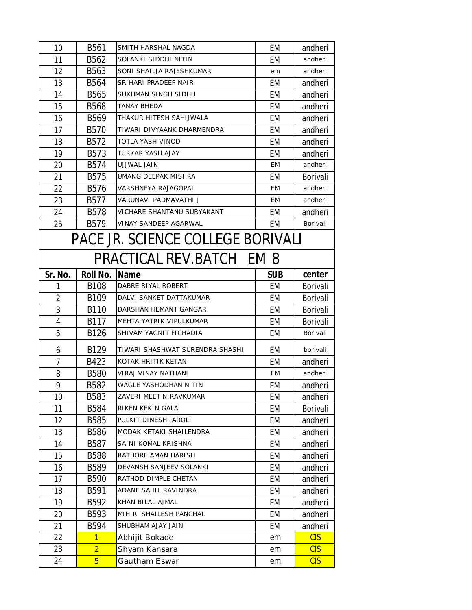| 10      | <b>B561</b>      | SMITH HARSHAL NAGDA               | EM         | andheri         |
|---------|------------------|-----------------------------------|------------|-----------------|
| 11      | B562             | SOLANKI SIDDHI NITIN              | EM         | andheri         |
| 12      | B563             | SONI SHAILJA RAJESHKUMAR          | em         | andheri         |
| 13      | B564             | SRIHARI PRADEEP NAIR              | EM         | andheri         |
| 14      | <b>B565</b>      | SUKHMAN SINGH SIDHU               | EM         | andheri         |
| 15      | <b>B568</b>      | TANAY BHEDA                       | EM         | andheri         |
| 16      | B <sub>569</sub> | THAKUR HITESH SAHIJWALA           | EM         | andheri         |
| 17      | <b>B570</b>      | TIWARI DIVYAANK DHARMENDRA        | EM         | andheri         |
| 18      | B572             | TOTLA YASH VINOD                  | EM         | andheri         |
| 19      | B <sub>573</sub> | <b>TURKAR YASH AJAY</b>           | EM         | andheri         |
| 20      | B574             | <b>UJJWAL JAIN</b>                | EM         | andheri         |
| 21      | <b>B575</b>      | UMANG DEEPAK MISHRA               | EM         | Borivali        |
| 22      | B576             | <b>VARSHNEYA RAJAGOPAL</b>        | EM         | andheri         |
| 23      | B577             | VARUNAVI PADMAVATHI J             | EM         | andheri         |
| 24      | <b>B578</b>      | VICHARE SHANTANU SURYAKANT        | EM         | andheri         |
| 25      | B579             | VINAY SANDEEP AGARWAL             | EM         | Borivali        |
|         |                  | PACE JR. SCIENCE COLLEGE BORIVALI |            |                 |
|         |                  | PRACTICAL REV.BATCH EM 8          |            |                 |
| Sr. No. | <b>Roll No.</b>  | <b>Name</b>                       | <b>SUB</b> | center          |
| 1       | B108             | DABRE RIYAL ROBERT                | EM         | <b>Borivali</b> |
| 2       | B <sub>109</sub> | DALVI SANKET DATTAKUMAR           | EM         | <b>Borivali</b> |
| 3       | B <sub>110</sub> | DARSHAN HEMANT GANGAR             | EM         | <b>Borivali</b> |
| 4       | B117             | MEHTA YATRIK VIPULKUMAR           | EM         | <b>Borivali</b> |
| 5       | B126             | SHIVAM YAGNIT FICHADIA            | EM         | Borivali        |
| 6       | B129             | TIWARI SHASHWAT SURENDRA SHASHI   | EM         | borivali        |
| 7       | B423             | KOTAK HRITIK KETAN                | EM         | andheri         |
| 8       | <b>B580</b>      | VIRAJ VINAY NATHANI               | EM         | andheri         |
| 9       | B582             | WAGLE YASHODHAN NITIN             | EM         | andheri         |
| 10      | B583             | ZAVERI MEET NIRAVKUMAR            | EM         | andheri         |
| 11      | <b>B584</b>      | RIKEN KEKIN GALA                  | EM         | Borivali        |
| 12      | <b>B585</b>      | PULKIT DINESH JAROLI              | EM         | andheri         |
| 13      | <b>B586</b>      | MODAK KETAKI SHAILENDRA           | EM         | andheri         |
| 14      | B587             | SAINI KOMAL KRISHNA               | EM         | andheri         |
| 15      |                  |                                   |            | andheri         |
| 16      | <b>B588</b>      | RATHORE AMAN HARISH               | EM         |                 |
| 17      | B589             | DEVANSH SANJEEV SOLANKI           | EM         | andheri         |
|         | B590             | RATHOD DIMPLE CHETAN              | EM         | andheri         |
| 18      | B591             | ADANE SAHIL RAVINDRA              | EM         | andheri         |
| 19      | B592             | KHAN BILAL AJMAL                  | EM         | andheri         |
| 20      | B593             | MIHIR SHAILESH PANCHAL            | EM         | andheri         |
| 21      | B594             | SHUBHAM AJAY JAIN                 | EM         | andheri         |
| 22      | $\mathbf{1}$     | Abhijit Bokade                    | em         | <b>CIS</b>      |
| 23      | $\overline{2}$   | Shyam Kansara                     | em         | <b>CIS</b>      |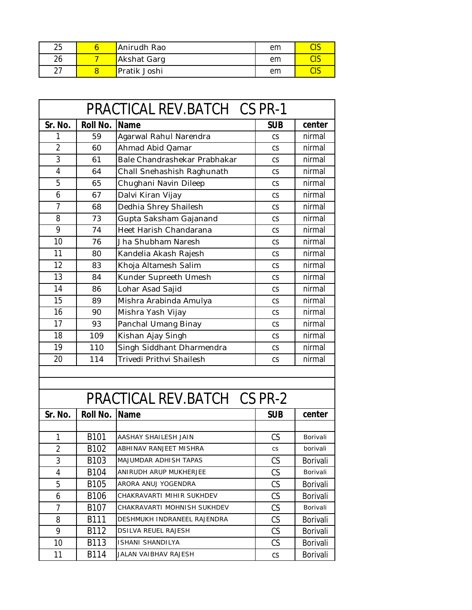| 25 | Anirudh Rao  | em | णव    |
|----|--------------|----|-------|
| 26 | Akshat Garg  | em | داب   |
|    | Pratik Joshi | em | ن ا ب |

| PRACTICAL REV.BATCH CS PR-1 |                  |                              |                          |                 |
|-----------------------------|------------------|------------------------------|--------------------------|-----------------|
| Sr. No.                     | <b>Roll No.</b>  | <b>Name</b>                  | <b>SUB</b>               | center          |
| 1                           | 59               | Agarwal Rahul Narendra       | CS                       | nirmal          |
| $\overline{2}$              | 60               | Ahmad Abid Qamar             | CS                       | nirmal          |
| 3                           | 61               | Bale Chandrashekar Prabhakar | CS                       | nirmal          |
| $\overline{4}$              | 64               | Chall Snehashish Raghunath   | CS                       | nirmal          |
| 5                           | 65               | Chughani Navin Dileep        | CS                       | nirmal          |
| 6                           | 67               | Dalvi Kiran Vijay            | CS                       | nirmal          |
| 7                           | 68               | Dedhia Shrey Shailesh        | CS                       | nirmal          |
| 8                           | 73               | Gupta Saksham Gajanand       | CS                       | nirmal          |
| 9                           | 74               | Heet Harish Chandarana       | CS                       | nirmal          |
| 10                          | 76               | Jha Shubham Naresh           | CS                       | nirmal          |
| 11                          | 80               | Kandelia Akash Rajesh        | CS                       | nirmal          |
| 12                          | 83               | Khoja Altamesh Salim         | CS                       | nirmal          |
| 13                          | 84               | Kunder Supreeth Umesh        | CS                       | nirmal          |
| 14                          | 86               | Lohar Asad Sajid             | CS                       | nirmal          |
| 15                          | 89               | Mishra Arabinda Amulya       | CS                       | nirmal          |
| 16                          | 90               | Mishra Yash Vijay            | CS                       | nirmal          |
| 17                          | 93               | Panchal Umang Binay          | CS                       | nirmal          |
| 18                          | 109              | Kishan Ajay Singh            | CS                       | nirmal          |
| 19                          | 110              | Singh Siddhant Dharmendra    | <b>CS</b>                | nirmal          |
| 20                          | 114              | Trivedi Prithvi Shailesh     | CS                       | nirmal          |
|                             |                  |                              |                          |                 |
|                             |                  |                              |                          |                 |
|                             |                  | PRACTICAL REV.BATCH CS PR-2  |                          |                 |
| Sr. No.                     | <b>Roll No.</b>  | Name                         | <b>SUB</b>               | center          |
|                             |                  |                              |                          |                 |
| 1                           | B101             | AASHAY SHAILESH JAIN         | CS                       | Borivali        |
| 2                           | B102             | ABHINAV RANJEET MISHRA       | CS                       | borivali        |
| 3                           | B <sub>103</sub> | MAJUMDAR ADHISH TAPAS        | CS                       | <b>Borivali</b> |
| 4                           | B <sub>104</sub> | ANIRUDH ARUP MUKHERJEE       | CS                       | Borivali        |
| 5                           | B105             | ARORA ANUJ YOGENDRA          | CS                       | Borivali        |
| 6                           | B <sub>106</sub> | CHAKRAVARTI MIHIR SUKHDEV    | CS                       | <b>Borivali</b> |
| 7                           | B107             | CHAKRAVARTI MOHNISH SUKHDEV  | CS                       | Borivali        |
| 8                           | B111             | DESHMUKH INDRANEEL RAJENDRA  | CS.                      | Borivali        |
| 9                           | B112             | <b>DSILVA REUEL RAJESH</b>   | CS                       | Borivali        |
| 10                          | B113             | ISHANI SHANDILYA             | CS                       | <b>Borivali</b> |
| 11                          | B114             | JALAN VAIBHAV RAJESH         | $\mathsf{CS}\phantom{0}$ | <b>Borivali</b> |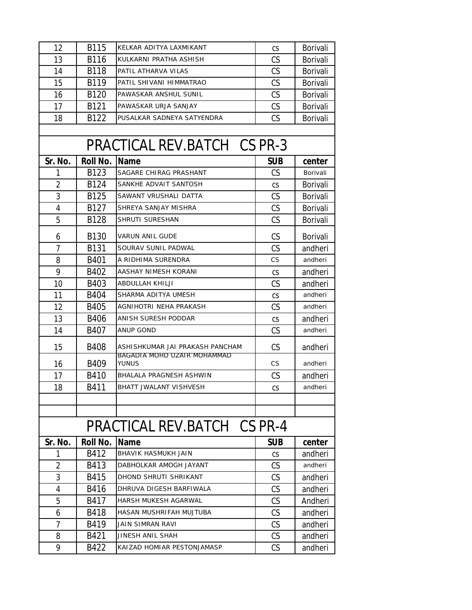| 12             | <b>B115</b>     | KELKAR ADITYA LAXMIKANT                                        | CS         | Borivali        |
|----------------|-----------------|----------------------------------------------------------------|------------|-----------------|
| 13             | <b>B116</b>     | KULKARNI PRATHA ASHISH                                         | CS         | <b>Borivali</b> |
| 14             | <b>B118</b>     | PATIL ATHARVA VILAS                                            | CS         | Borivali        |
| 15             | B119            | PATIL SHIVANI HIMMATRAO                                        | CS         | <b>Borivali</b> |
| 16             | B120            | PAWASKAR ANSHUL SUNIL                                          | CS         | <b>Borivali</b> |
| 17             | B121            | PAWASKAR URJA SANJAY                                           | CS         | <b>Borivali</b> |
| 18             | B122            | PUSALKAR SADNEYA SATYENDRA                                     | CS         | <b>Borivali</b> |
|                |                 |                                                                |            |                 |
|                |                 | PRACTICAL REV.BATCH CS PR-3                                    |            |                 |
| Sr. No.        | Roll No.        | <b>Name</b>                                                    | <b>SUB</b> | center          |
| 1              | B123            | SAGARE CHIRAG PRASHANT                                         | CS         | Borivali        |
| $\overline{2}$ | B124            | SANKHE ADVAIT SANTOSH                                          | <b>CS</b>  | <b>Borivali</b> |
| 3              | B125            | SAWANT VRUSHALI DATTA                                          | CS         | Borivali        |
| 4              | B127            | SHREYA SANJAY MISHRA                                           | CS         | <b>Borivali</b> |
| 5              | B128            | SHRUTI SURESHAN                                                | CS         | <b>Borivali</b> |
| 6              | B130            | VARUN ANIL GUDE                                                | CS         | <b>Borivali</b> |
| 7              | <b>B131</b>     | SOURAV SUNIL PADWAL                                            | CS         | andheri         |
| 8              | B401            | A RIDHIMA SURENDRA                                             | <b>CS</b>  | andheri         |
| 9              | B402            | AASHAY NIMESH KORANI                                           | CS         | andheri         |
| 10             | B403            | ABDULLAH KHILJI                                                | CS         | andheri         |
| 11             | <b>B404</b>     | SHARMA ADITYA UMESH                                            | CS         | andheri         |
| 12             | B405            | AGNIHOTRI NEHA PRAKASH                                         | CS         | andheri         |
| 13             | <b>B406</b>     | ANISH SURESH PODDAR                                            | CS         | andheri         |
| 14             | B407            | ANUP GOND                                                      | CS         | andheri         |
| 15             | <b>B408</b>     | ASHISHKUMAR JAI PRAKASH PANCHAM<br>BAGADIA MOHD UZAIR MOHAMMAD | <b>CS</b>  | andheri         |
| 16             | B409            | YUNUS                                                          | <b>CS</b>  | andheri         |
| 17             | B410            | <b>BHALALA PRAGNESH ASHWIN</b>                                 | CS         | andheri         |
| 18             | B411            | BHATT JWALANT VISHVESH                                         | СS         | andheri         |
|                |                 |                                                                |            |                 |
|                |                 |                                                                |            |                 |
|                |                 | PRACTICAL REV.BATCH CS PR-4                                    |            |                 |
| Sr. No.        | <b>Roll No.</b> | <b>Name</b>                                                    | <b>SUB</b> | center          |
| 1              | B412            | BHAVIK HASMUKH JAIN                                            | <b>CS</b>  | andheri         |
| 2              | B413            | DABHOLKAR AMOGH JAYANT                                         | CS.        | andheri         |
| 3              | B415            | DHOND SHRUTI SHRIKANT                                          | CS         | andheri         |
| 4              | B416            | DHRUVA DIGESH BARFIWALA                                        | CS.        | andheri         |
| 5              | B417            | HARSH MUKESH AGARWAL                                           | <b>CS</b>  | Andheri         |
| 6              | <b>B418</b>     | HASAN MUSHRIFAH MUJTUBA                                        | CS         | andheri         |
| 7              | B419            | JAIN SIMRAN RAVI                                               | CS         | andheri         |
| 8              | B421            | JINESH ANIL SHAH                                               | CS         | andheri         |
| 9              | B422            | KAIZAD HOMIAR PESTONJAMASP                                     | CS         | andheri         |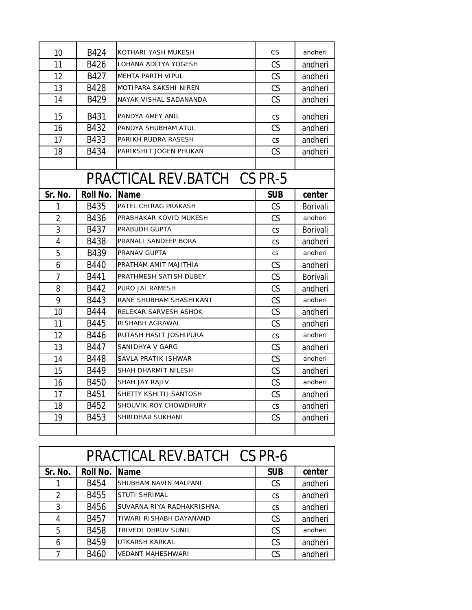| 10             | B424                        | KOTHARI YASH MUKESH      | <b>CS</b>  | andheri  |  |
|----------------|-----------------------------|--------------------------|------------|----------|--|
| 11             | B426                        | LOHANA ADITYA YOGESH     | <b>CS</b>  | andheri  |  |
| 12             | B427                        | <b>MEHTA PARTH VIPUL</b> | CS         | andheri  |  |
| 13             | <b>B428</b>                 | MOTIPARA SAKSHI NIREN    | CS         | andheri  |  |
| 14             | B429                        | NAYAK VISHAL SADANANDA   | CS         | andheri  |  |
| 15             | B431                        | PANDYA AMEY ANIL         | <b>CS</b>  | andheri  |  |
| 16             | B432                        | PANDYA SHUBHAM ATUL      | CS         | andheri  |  |
| 17             | B433                        | PARIKH RUDRA RASESH      | CS         | andheri  |  |
| 18             | <b>B434</b>                 | PARIKSHIT JOGEN PHUKAN   | CS         | andheri  |  |
|                |                             |                          |            |          |  |
|                | PRACTICAL REV.BATCH CS PR-5 |                          |            |          |  |
| Sr. No.        | <b>Roll No.</b>             | <b>Name</b>              | <b>SUB</b> | center   |  |
| 1              | <b>B435</b>                 | PATEL CHIRAG PRAKASH     | <b>CS</b>  | Borivali |  |
| $\overline{2}$ | B436                        | PRABHAKAR KOVID MUKESH   | CS         | andheri  |  |
| 3              | B437                        | PRABUDH GUPTA            | CS         | Borivali |  |
| $\overline{4}$ | <b>B438</b>                 | PRANALI SANDEEP BORA     | CS         | andheri  |  |
| 5              | B439                        | PRANAV GUPTA             | <b>CS</b>  | andheri  |  |
| 6              | <b>B440</b>                 | PRATHAM AMIT MAJITHIA    | CS         | andheri  |  |
| $\overline{1}$ | B441                        | PRATHMESH SATISH DUBEY   | CS         | Borivali |  |
| 8              | B442                        | PURO JAI RAMESH          | CS         | andheri  |  |
| 9              | B443                        | RANE SHUBHAM SHASHIKANT  | CS         | andheri  |  |
| 10             | <b>B444</b>                 | RELEKAR SARVESH ASHOK    | CS         | andheri  |  |
| 11             | <b>B445</b>                 | RISHABH AGRAWAL          | CS         | andheri  |  |
| 12             | <b>B446</b>                 | RUTASH HASIT JOSHIPURA   | CS         | andheri  |  |
| 13             | B447                        | SANIDHYA V GARG          | <b>CS</b>  | andheri  |  |
| 14             | <b>B448</b>                 | SAVLA PRATIK ISHWAR      | <b>CS</b>  | andheri  |  |
| 15             | B449                        | SHAH DHARMIT NILESH      | CS         | andheri  |  |
| 16             | <b>B450</b>                 | SHAH JAY RAJIV           | CS         | andheri  |  |
| 17             | B451                        | SHETTY KSHITIJ SANTOSH   | CS         | andheri  |  |
| 18             | B452                        | SHOUVIK ROY CHOWDHURY    | CS         | andheri  |  |
| 19             | B453                        | SHRIDHAR SUKHANI         | CS         | andheri  |  |
|                |                             |                          |            |          |  |

| PRACTICAL REV.BATCH CS PR-6 |               |                           |            |         |
|-----------------------------|---------------|---------------------------|------------|---------|
| Sr. No.                     | Roll No. Name |                           | <b>SUB</b> | center  |
|                             | B454          | SHUBHAM NAVIN MALPANI     | <b>CS</b>  | andheri |
| 2                           | B455          | <b>STUTI SHRIMAL</b>      | <b>CS</b>  | andheri |
| 3                           | B456          | SUVARNA RIYA RADHAKRISHNA | CS.        | andheri |
| 4                           | B457          | TIWARI RISHABH DAYANAND   | <b>CS</b>  | andheri |
| 5                           | <b>B458</b>   | TRIVEDI DHRUV SUNIL       | <b>CS</b>  | andheri |
| 6                           | B459          | UTKARSH KARKAL            | <b>CS</b>  | andheri |
| 7                           | <b>B460</b>   | <b>VEDANT MAHESHWARI</b>  | CS         | andheri |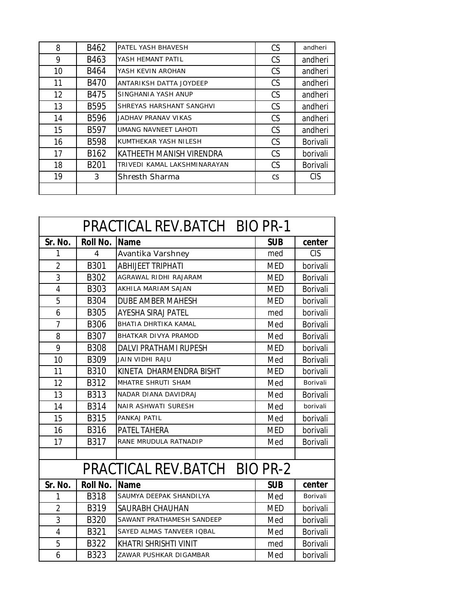| 8  | B462             | PATEL YASH BHAVESH           | <b>CS</b> | andheri         |
|----|------------------|------------------------------|-----------|-----------------|
| 9  | B463             | YASH HEMANT PATIL            | <b>CS</b> | andheri         |
| 10 | B464             | YASH KEVIN AROHAN            | <b>CS</b> | andheri         |
| 11 | <b>B470</b>      | ANTARIKSH DATTA JOYDEEP      | <b>CS</b> | andheri         |
| 12 | B475             | SINGHANIA YASH ANUP          | <b>CS</b> | andheri         |
| 13 | <b>B595</b>      | SHREYAS HARSHANT SANGHVI     | <b>CS</b> | andheri         |
| 14 | <b>B596</b>      | JADHAV PRANAV VIKAS          | <b>CS</b> | andheri         |
| 15 | B597             | UMANG NAVNEET LAHOTI         | CS        | andheri         |
| 16 | <b>B598</b>      | KUMTHEKAR YASH NILESH        | <b>CS</b> | <b>Borivali</b> |
| 17 | B162             | KATHEETH MANISH VIRENDRA     | <b>CS</b> | borivali        |
| 18 | B <sub>201</sub> | TRIVEDI KAMAL LAKSHMINARAYAN | <b>CS</b> | <b>Borivali</b> |
| 19 | 3                | Shresth Sharma               | CS        | <b>CIS</b>      |
|    |                  |                              |           |                 |

| PRACTICAL REV.BATCH BIO PR-1 |                 |                              |            |                 |
|------------------------------|-----------------|------------------------------|------------|-----------------|
| Sr. No.                      | <b>Roll No.</b> | <b>Name</b>                  | <b>SUB</b> | center          |
| 1                            | $\overline{4}$  | Avantika Varshney            | med        | <b>CIS</b>      |
| $\overline{2}$               | B301            | <b>ABHIJEET TRIPHATI</b>     | <b>MED</b> | borivali        |
| 3                            | B302            | AGRAWAL RIDHI RAJARAM        | <b>MED</b> | <b>Borivali</b> |
| 4                            | B303            | AKHILA MARIAM SAJAN          | <b>MED</b> | Borivali        |
| 5                            | <b>B304</b>     | <b>DUBE AMBER MAHESH</b>     | <b>MED</b> | borivali        |
| 6                            | <b>B305</b>     | <b>AYESHA SIRAJ PATEL</b>    | med        | borivali        |
| 7                            | <b>B306</b>     | <b>BHATIA DHRTIKA KAMAL</b>  | Med        | Borivali        |
| 8                            | B307            | <b>BHATKAR DIVYA PRAMOD</b>  | Med        | Borivali        |
| 9                            | <b>B308</b>     | <b>DALVI PRATHAMI RUPESH</b> | <b>MED</b> | borivali        |
| 10                           | <b>B309</b>     | JAIN VIDHI RAJU              | Med        | <b>Borivali</b> |
| 11                           | <b>B310</b>     | KINETA DHARMENDRA BISHT      | <b>MED</b> | borivali        |
| 12                           | B312            | MHATRE SHRUTI SHAM           | Med        | Borivali        |
| 13                           | <b>B313</b>     | NADAR DIANA DAVIDRAJ         | Med        | <b>Borivali</b> |
| 14                           | <b>B314</b>     | NAIR ASHWATI SURESH          | Med        | borivali        |
| 15                           | <b>B315</b>     | PANKAJ PATIL                 | Med        | borivali        |
| 16                           | <b>B316</b>     | PATEL TAHERA                 | <b>MED</b> | borivali        |
| 17                           | B317            | RANE MRUDULA RATNADIP        | Med        | <b>Borivali</b> |
|                              |                 |                              |            |                 |
| PRACTICAL REV.BATCH BIO PR-2 |                 |                              |            |                 |
| Sr. No.                      | Roll No.        | <b>Name</b>                  | <b>SUB</b> | center          |
| 1                            | <b>B318</b>     | SAUMYA DEEPAK SHANDILYA      | Med        | Borivali        |
| $\overline{2}$               | <b>B319</b>     | SAURABH CHAUHAN              | <b>MED</b> | borivali        |
| 3                            | <b>B320</b>     | SAWANT PRATHAMESH SANDEEP    | Med        | borivali        |
| $\overline{4}$               | B321            | SAYED ALMAS TANVEER IQBAL    | Med        | Borivali        |
| 5                            | <b>B322</b>     | KHATRI SHRISHTI VINIT        | med        | Borivali        |
| 6                            | <b>B323</b>     | ZAWAR PUSHKAR DIGAMBAR       | Med        | borivali        |